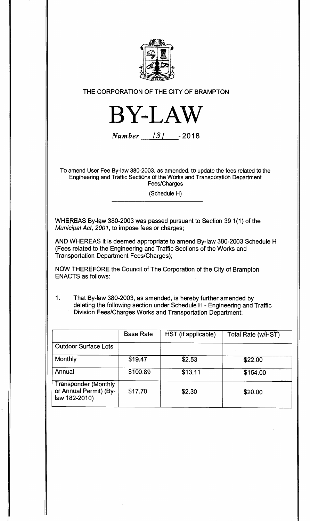

**THE CORPORATION OF THE CITY OF BRAMPTON** 



**Number 131 -2018** 

**To amend User Fee By-law 380-2003, as amended, to update the fees related to the Engineering and Traffic Sections of the Works and Transporation Department Fees/Charges** 

**(Schedule H)** 

**WHEREAS By-law 380-2003 was passed pursuant to Section 39 1(1) of the Municipal Act, 2001, to impose fees or charges;** 

**AND WHEREAS it is deemed appropriate to amend By-law 380-2003 Schedule H (Fees related to the Engineering and Traffic Sections of the Works and Transportation Department Fees/Charges);** 

**NOW THEREFORE the Council of The Corporation of the City of Brampton ENACTS as follows:** 

**1. That By-law 380-2003, as amended, is hereby further amended by deleting the following section under Schedule H - Engineering and Traffic Division Fees/Charges Works and Transportation Department:** 

|                                                                        | <b>Base Rate</b> | HST (if applicable) | Total Rate (w/HST) |
|------------------------------------------------------------------------|------------------|---------------------|--------------------|
| <b>Outdoor Surface Lots</b>                                            |                  |                     |                    |
| Monthly                                                                | \$19.47          | \$2.53              | \$22.00            |
| Annual                                                                 | \$100.89         | \$13.11             | \$154.00           |
| <b>Transponder (Monthly</b><br>or Annual Permit) (By-<br>law 182-2010) | \$17.70          | \$2.30              | \$20.00            |